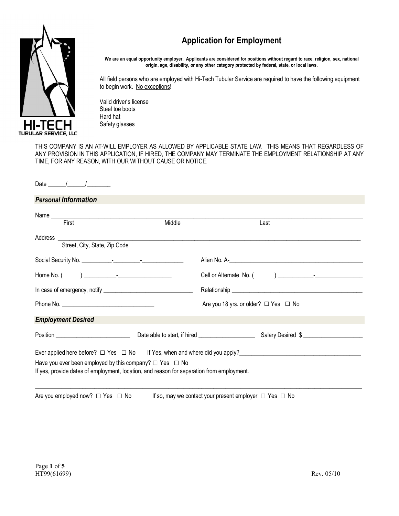# **Application for Employment**



**We are an equal opportunity employer. Applicants are considered for positions without regard to race, religion, sex, national origin, age, disability, or any other category protected by federal, state, or local laws.**

All field persons who are employed with Hi-Tech Tubular Service are required to have the following equipment to begin work. No exceptions!

Valid driver's license Steel toe boots Hard hat Safety glasses

THIS COMPANY IS AN AT-WILL EMPLOYER AS ALLOWED BY APPLICABLE STATE LAW. THIS MEANS THAT REGARDLESS OF ANY PROVISION IN THIS APPLICATION, IF HIRED, THE COMPANY MAY TERMINATE THE EMPLOYMENT RELATIONSHIP AT ANY TIME, FOR ANY REASON, WITH OUR WITHOUT CAUSE OR NOTICE.

## Date

# *Personal Information*

| Middle | Last                                                                                                                                                                                                                               |
|--------|------------------------------------------------------------------------------------------------------------------------------------------------------------------------------------------------------------------------------------|
|        |                                                                                                                                                                                                                                    |
|        |                                                                                                                                                                                                                                    |
|        |                                                                                                                                                                                                                                    |
|        |                                                                                                                                                                                                                                    |
|        | Are you 18 yrs. or older? $\Box$ Yes $\Box$ No                                                                                                                                                                                     |
|        |                                                                                                                                                                                                                                    |
|        |                                                                                                                                                                                                                                    |
|        | Ever applied here before? $\Box$ Yes $\Box$ No If Yes, when and where did you apply?<br>The strategy of the strategy and the strategy and the strategy and the strategy and the strategy and the strategy and the strategy and the |
|        |                                                                                                                                                                                                                                    |
|        | Name<br>Have you ever been employed by this company? $\Box$ Yes $\Box$ No<br>If yes, provide dates of employment, location, and reason for separation from employment.                                                             |

Are you employed now?  $\Box$  Yes  $\Box$  No If so, may we contact your present employer  $\Box$  Yes  $\Box$  No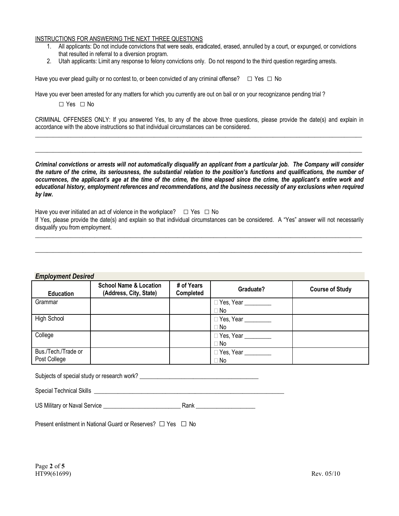#### INSTRUCTIONS FOR ANSWERING THE NEXT THREE QUESTIONS

- 1. All applicants: Do not include convictions that were seals, eradicated, erased, annulled by a court, or expunged, or convictions that resulted in referral to a diversion program.
- 2. Utah applicants: Limit any response to felony convictions only. Do not respond to the third question regarding arrests.

Have you ever plead guilty or no contest to, or been convicted of any criminal offense?  $\Box$  Yes  $\Box$  No

Have you ever been arrested for any matters for which you currently are out on bail or on your recognizance pending trial ?

□ Yes □ No

CRIMINAL OFFENSES ONLY: If you answered Yes, to any of the above three questions, please provide the date(s) and explain in accordance with the above instructions so that individual circumstances can be considered.  $\_$  ,  $\_$  ,  $\_$  ,  $\_$  ,  $\_$  ,  $\_$  ,  $\_$  ,  $\_$  ,  $\_$  ,  $\_$  ,  $\_$  ,  $\_$  ,  $\_$  ,  $\_$  ,  $\_$  ,  $\_$  ,  $\_$  ,  $\_$  ,  $\_$  ,  $\_$  ,  $\_$  ,  $\_$  ,  $\_$  ,  $\_$  ,  $\_$  ,  $\_$  ,  $\_$  ,  $\_$  ,  $\_$  ,  $\_$  ,  $\_$  ,  $\_$  ,  $\_$  ,  $\_$  ,  $\_$  ,  $\_$  ,  $\_$  ,

 $\_$  ,  $\_$  ,  $\_$  ,  $\_$  ,  $\_$  ,  $\_$  ,  $\_$  ,  $\_$  ,  $\_$  ,  $\_$  ,  $\_$  ,  $\_$  ,  $\_$  ,  $\_$  ,  $\_$  ,  $\_$  ,  $\_$  ,  $\_$  ,  $\_$  ,  $\_$  ,  $\_$  ,  $\_$  ,  $\_$  ,  $\_$  ,  $\_$  ,  $\_$  ,  $\_$  ,  $\_$  ,  $\_$  ,  $\_$  ,  $\_$  ,  $\_$  ,  $\_$  ,  $\_$  ,  $\_$  ,  $\_$  ,  $\_$  ,

*Criminal convictions or arrests will not automatically disqualify an applicant from a particular job. The Company will consider the nature of the crime, its seriousness, the substantial relation to the position's functions and qualifications, the number of occurrences, the applicant's age at the time of the crime, the time elapsed since the crime, the applicant's entire work and educational history, employment references and recommendations, and the business necessity of any exclusions when required by law.*

Have you ever initiated an act of violence in the workplace? □ Yes □ No<br>If Yes, please provide the date(s) and explain so that individual circumstances can be considered. A "Yes" answer will not necessarily disqualify you from employment.

 $\_$  ,  $\_$  ,  $\_$  ,  $\_$  ,  $\_$  ,  $\_$  ,  $\_$  ,  $\_$  ,  $\_$  ,  $\_$  ,  $\_$  ,  $\_$  ,  $\_$  ,  $\_$  ,  $\_$  ,  $\_$  ,  $\_$  ,  $\_$  ,  $\_$  ,  $\_$  ,  $\_$  ,  $\_$  ,  $\_$  ,  $\_$  ,  $\_$  ,  $\_$  ,  $\_$  ,  $\_$  ,  $\_$  ,  $\_$  ,  $\_$  ,  $\_$  ,  $\_$  ,  $\_$  ,  $\_$  ,  $\_$  ,  $\_$  ,

 $\_$  ,  $\_$  ,  $\_$  ,  $\_$  ,  $\_$  ,  $\_$  ,  $\_$  ,  $\_$  ,  $\_$  ,  $\_$  ,  $\_$  ,  $\_$  ,  $\_$  ,  $\_$  ,  $\_$  ,  $\_$  ,  $\_$  ,  $\_$  ,  $\_$  ,  $\_$  ,  $\_$  ,  $\_$  ,  $\_$  ,  $\_$  ,  $\_$  ,  $\_$  ,  $\_$  ,  $\_$  ,  $\_$  ,  $\_$  ,  $\_$  ,  $\_$  ,  $\_$  ,  $\_$  ,  $\_$  ,  $\_$  ,  $\_$  ,

#### *Employment Desired*

| $\frac{1}{2}$<br><b>Education</b>   | <b>School Name &amp; Location</b><br>(Address, City, State) | # of Years<br>Completed | Graduate?                                             | <b>Course of Study</b> |
|-------------------------------------|-------------------------------------------------------------|-------------------------|-------------------------------------------------------|------------------------|
| Grammar                             |                                                             |                         | Yes, Year<br>∣ No                                     |                        |
| High School                         |                                                             |                         | Yes, Year <u>Nessan New York and The</u><br>i No      |                        |
| College                             |                                                             |                         | $\Box$ Yes, Year $\_\_\_\_\_\_\_\_\_\_\_\_\_$<br>: No |                        |
| Bus./Tech./Trade or<br>Post College |                                                             |                         | Yes, Year ________<br>i No                            |                        |

Subjects of special study or research work? \_\_\_\_\_\_\_\_\_\_\_\_\_\_\_\_\_\_\_\_\_\_\_\_\_\_\_\_\_\_\_\_\_\_\_\_\_\_\_\_

| <b>Special Technical Skills</b> |  |
|---------------------------------|--|
|                                 |  |

Present enlistment in National Guard or Reserves? □ Yes □ No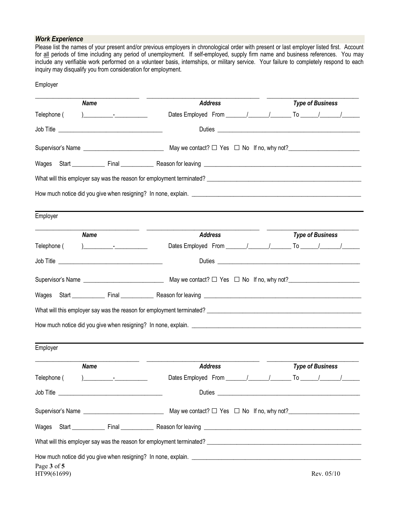## *Work Experience*

Employer

Please list the names of your present and/or previous employers in chronological order with present or last employer listed first. Account for all periods of time including any period of unemployment. If self-employed, supply firm name and business references. You may include any verifiable work performed on a volunteer basis, internships, or military service. Your failure to completely respond to each inquiry may disqualify you from consideration for employment.

| <b>Name</b>                | <b>Address</b>                                                                                                                                                                                                                 | <b>Type of Business</b> |  |
|----------------------------|--------------------------------------------------------------------------------------------------------------------------------------------------------------------------------------------------------------------------------|-------------------------|--|
| Telephone (                |                                                                                                                                                                                                                                |                         |  |
|                            |                                                                                                                                                                                                                                |                         |  |
|                            |                                                                                                                                                                                                                                |                         |  |
|                            |                                                                                                                                                                                                                                |                         |  |
|                            |                                                                                                                                                                                                                                |                         |  |
|                            |                                                                                                                                                                                                                                |                         |  |
| Employer                   |                                                                                                                                                                                                                                |                         |  |
| <b>Name</b>                | <b>Address</b>                                                                                                                                                                                                                 | <b>Type of Business</b> |  |
| Telephone (                |                                                                                                                                                                                                                                |                         |  |
|                            |                                                                                                                                                                                                                                |                         |  |
|                            |                                                                                                                                                                                                                                |                         |  |
|                            |                                                                                                                                                                                                                                |                         |  |
|                            |                                                                                                                                                                                                                                |                         |  |
|                            |                                                                                                                                                                                                                                |                         |  |
|                            |                                                                                                                                                                                                                                |                         |  |
| Employer                   |                                                                                                                                                                                                                                |                         |  |
| <b>Name</b>                | <b>Address</b>                                                                                                                                                                                                                 | <b>Type of Business</b> |  |
| Telephone (                | Dates Employed From                                                                                                                                                                                                            |                         |  |
|                            |                                                                                                                                                                                                                                |                         |  |
|                            |                                                                                                                                                                                                                                |                         |  |
|                            |                                                                                                                                                                                                                                |                         |  |
|                            | What will this employer say was the reason for employment terminated? University of the state of the state of the state of the state of the state of the state of the state of the state of the state of the state of the stat |                         |  |
|                            | How much notice did you give when resigning? In none, explain. <u>The manus of the second of the second</u> states and                                                                                                         |                         |  |
| Page 3 of 5<br>HT99(61699) |                                                                                                                                                                                                                                | Rev. 05/10              |  |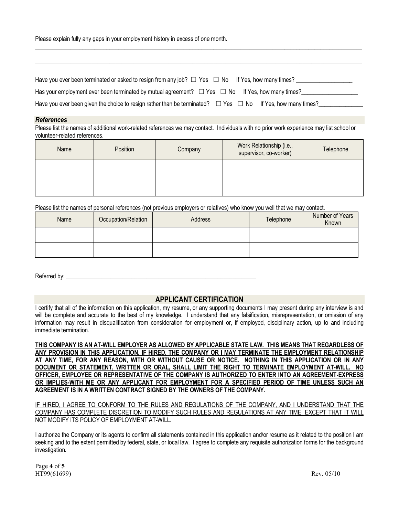Please explain fully any gaps in your employment history in excess of one month.

| Have you ever been terminated or asked to resign from any job? $\Box$ Yes $\Box$ No If Yes, how many times?           |
|-----------------------------------------------------------------------------------------------------------------------|
| Has your employment ever been terminated by mutual agreement? $\Box$ Yes $\Box$ No If Yes, how many times?            |
| Have you ever been given the choice to resign rather than be terminated? $\Box$ Yes $\Box$ No If Yes, how many times? |

 $\_$  ,  $\_$  ,  $\_$  ,  $\_$  ,  $\_$  ,  $\_$  ,  $\_$  ,  $\_$  ,  $\_$  ,  $\_$  ,  $\_$  ,  $\_$  ,  $\_$  ,  $\_$  ,  $\_$  ,  $\_$  ,  $\_$  ,  $\_$  ,  $\_$  ,  $\_$  ,  $\_$  ,  $\_$  ,  $\_$  ,  $\_$  ,  $\_$  ,  $\_$  ,  $\_$  ,  $\_$  ,  $\_$  ,  $\_$  ,  $\_$  ,  $\_$  ,  $\_$  ,  $\_$  ,  $\_$  ,  $\_$  ,  $\_$  ,

 $\_$  ,  $\_$  ,  $\_$  ,  $\_$  ,  $\_$  ,  $\_$  ,  $\_$  ,  $\_$  ,  $\_$  ,  $\_$  ,  $\_$  ,  $\_$  ,  $\_$  ,  $\_$  ,  $\_$  ,  $\_$  ,  $\_$  ,  $\_$  ,  $\_$  ,  $\_$  ,  $\_$  ,  $\_$  ,  $\_$  ,  $\_$  ,  $\_$  ,  $\_$  ,  $\_$  ,  $\_$  ,  $\_$  ,  $\_$  ,  $\_$  ,  $\_$  ,  $\_$  ,  $\_$  ,  $\_$  ,  $\_$  ,  $\_$  ,

#### *References*

Please list the names of additional work-related references we may contact. Individuals with no prior work experience may list school or volunteer-related references.

| Name | Position | Company | Work Relationship (i.e.,<br>supervisor, co-worker) | Telephone |
|------|----------|---------|----------------------------------------------------|-----------|
|      |          |         |                                                    |           |
|      |          |         |                                                    |           |

Please list the names of personal references (not previous employers or relatives) who know you well that we may contact.

| Name | Occupation/Relation | Address | Telephone | Number of Years<br>Known |
|------|---------------------|---------|-----------|--------------------------|
|      |                     |         |           |                          |
|      |                     |         |           |                          |

Referred by:

## **APPLICANT CERTIFICATION**

I certify that all of the information on this application, my resume, or any supporting documents I may present during any interview is and will be complete and accurate to the best of my knowledge. I understand that any falsification, misrepresentation, or omission of any information may result in disqualification from consideration for employment or, if employed, disciplinary action, up to and including immediate termination.

**THIS COMPANY IS AN AT-WILL EMPLOYER AS ALLOWED BY APPLICABLE STATE LAW. THIS MEANS THAT REGARDLESS OF ANY PROVISION IN THIS APPLICATION, IF HIRED, THE COMPANY OR I MAY TERMINATE THE EMPLOYMENT RELATIONSHIP AT ANY TIME, FOR ANY REASON, WITH OR WITHOUT CAUSE OR NOTICE. NOTHING IN THIS APPLICATION OR IN ANY DOCUMENT OR STATEMENT, WRITTEN OR ORAL, SHALL LIMIT THE RIGHT TO TERMINATE EMPLOYMENT AT-WILL. NO OFFICER, EMPLOYEE OR REPRESENTATIVE OF THE COMPANY IS AUTHORIZED TO ENTER INTO AN AGREEMENT-EXPRESS OR IMPLIES-WITH ME OR ANY APPLICANT FOR EMPLOYMENT FOR A SPECIFIED PERIOD OF TIME UNLESS SUCH AN AGREEMENT IS IN A WRITTEN CONTRACT SIGNED BY THE OWNERS OF THE COMPANY.**

IF HIRED, I AGREE TO CONFORM TO THE RULES AND REGULATIONS OF THE COMPANY, AND I UNDERSTAND THAT THE COMPANY HAS COMPLETE DISCRETION TO MODIFY SUCH RULES AND REGULATIONS AT ANY TIME, EXCEPT THAT IT WILL NOT MODIFY ITS POLICY OF EMPLOYMENT AT-WILL.

I authorize the Company or its agents to confirm all statements contained in this application and/or resume as it related to the position I am seeking and to the extent permitted by federal, state, or local law. I agree to complete any requisite authorization forms for the background investigation.

Page **4** of **5** HT99(61699) Rev. 05/10